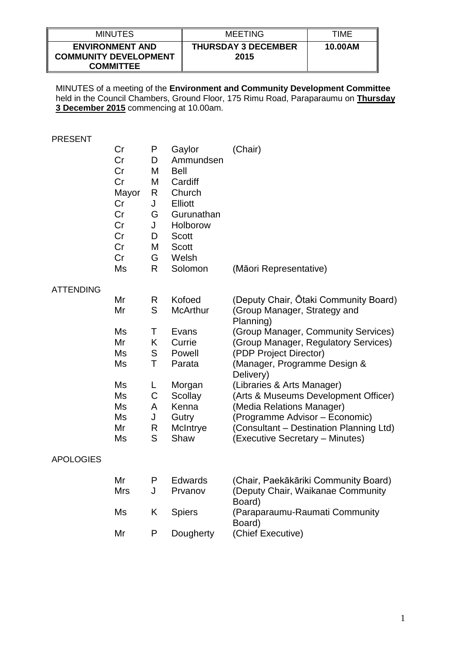| <b>MINUTES</b>                                                             | MEETING                            | TIME    |
|----------------------------------------------------------------------------|------------------------------------|---------|
| <b>ENVIRONMENT AND</b><br><b>COMMUNITY DEVELOPMENT</b><br><b>COMMITTEE</b> | <b>THURSDAY 3 DECEMBER</b><br>2015 | 10.00AM |

MINUTES of a meeting of the **Environment and Community Development Committee** held in the Council Chambers, Ground Floor, 175 Rimu Road, Paraparaumu on **Thursday 3 December 2015** commencing at 10.00am.

#### PRESENT

|                  | Cr<br>Cr<br>Cr<br>Cr<br>Mayor<br>Cr<br>Cr<br>Cr<br>Cr<br>Cr<br>Cr | P<br>D<br>M<br>M<br>R<br>J<br>G<br>J<br>D<br>M<br>G | Gaylor<br>Ammundsen<br><b>Bell</b><br>Cardiff<br>Church<br><b>Elliott</b><br>Gurunathan<br>Holborow<br><b>Scott</b><br><b>Scott</b><br>Welsh | (Chair)                                                                                                        |
|------------------|-------------------------------------------------------------------|-----------------------------------------------------|----------------------------------------------------------------------------------------------------------------------------------------------|----------------------------------------------------------------------------------------------------------------|
|                  | Ms                                                                | R                                                   | Solomon                                                                                                                                      | (Māori Representative)                                                                                         |
| <b>ATTENDING</b> |                                                                   |                                                     |                                                                                                                                              |                                                                                                                |
|                  | Mr                                                                | R.                                                  | Kofoed                                                                                                                                       | (Deputy Chair, Otaki Community Board)                                                                          |
|                  | Mr                                                                | S                                                   | <b>McArthur</b>                                                                                                                              | (Group Manager, Strategy and<br>Planning)                                                                      |
|                  | Ms                                                                | Τ                                                   | Evans                                                                                                                                        | (Group Manager, Community Services)                                                                            |
|                  | Mr                                                                | K                                                   | Currie                                                                                                                                       | (Group Manager, Regulatory Services)                                                                           |
|                  | Ms                                                                | S                                                   | Powell                                                                                                                                       | (PDP Project Director)                                                                                         |
|                  | Ms                                                                | T                                                   | Parata                                                                                                                                       | (Manager, Programme Design &<br>Delivery)                                                                      |
|                  | Ms                                                                | L                                                   | Morgan                                                                                                                                       | (Libraries & Arts Manager)                                                                                     |
|                  | Ms                                                                | C                                                   | Scollay                                                                                                                                      | (Arts & Museums Development Officer)                                                                           |
|                  | Ms                                                                | A                                                   | Kenna                                                                                                                                        | (Media Relations Manager)                                                                                      |
|                  | Ms                                                                | J                                                   | Gutry                                                                                                                                        | (Programme Advisor - Economic)                                                                                 |
|                  | Mr                                                                | R                                                   | McIntrye                                                                                                                                     | (Consultant - Destination Planning Ltd)                                                                        |
|                  | Ms                                                                | S                                                   | Shaw                                                                                                                                         | (Executive Secretary - Minutes)                                                                                |
| <b>APOLOGIES</b> |                                                                   |                                                     |                                                                                                                                              |                                                                                                                |
|                  | Mr<br>11 <i></i>                                                  | P                                                   | <b>Edwards</b><br>D <sub>m</sub>                                                                                                             | (Chair, Paekākāriki Community Board)<br>$(Dan)$ $\mu$ , $Dha$ $\mu$ , $Mali$ $na$ $a$ , $Dana$ $a$ , $b$ , $c$ |

| Mr         |    | Edwards       | (Chair, Paekakariki Community Board) |
|------------|----|---------------|--------------------------------------|
| <b>Mrs</b> |    | Prvanov       | (Deputy Chair, Waikanae Community    |
|            |    |               | Board)                               |
| Ms         | K. | <b>Spiers</b> | (Paraparaumu-Raumati Community       |
|            |    |               | Board)                               |
| Mr         | P  | Dougherty     | (Chief Executive)                    |
|            |    |               |                                      |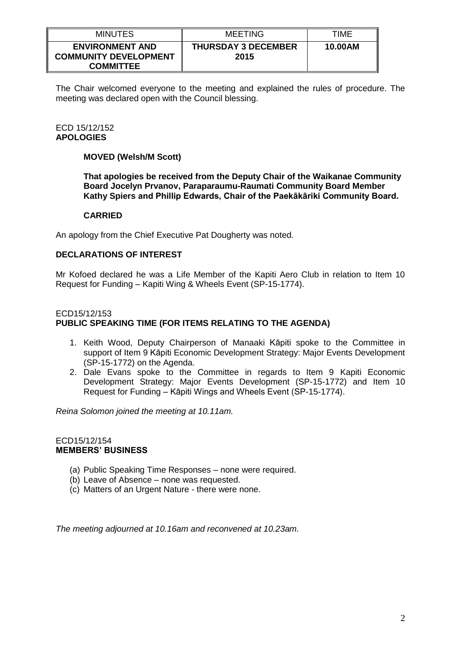| <b>MINUTES</b>                                                             | MEETING                            | TIME    |
|----------------------------------------------------------------------------|------------------------------------|---------|
| <b>ENVIRONMENT AND</b><br><b>COMMUNITY DEVELOPMENT</b><br><b>COMMITTEE</b> | <b>THURSDAY 3 DECEMBER</b><br>2015 | 10.00AM |

The Chair welcomed everyone to the meeting and explained the rules of procedure. The meeting was declared open with the Council blessing.

## ECD 15/12/152 **APOLOGIES**

## **MOVED (Welsh/M Scott)**

**That apologies be received from the Deputy Chair of the Waikanae Community Board Jocelyn Prvanov, Paraparaumu-Raumati Community Board Member Kathy Spiers and Phillip Edwards, Chair of the Paekākāriki Community Board.**

#### **CARRIED**

An apology from the Chief Executive Pat Dougherty was noted.

#### **DECLARATIONS OF INTEREST**

Mr Kofoed declared he was a Life Member of the Kapiti Aero Club in relation to Item 10 Request for Funding – Kapiti Wing & Wheels Event (SP-15-1774).

#### ECD15/12/153 **PUBLIC SPEAKING TIME (FOR ITEMS RELATING TO THE AGENDA)**

- 1. Keith Wood, Deputy Chairperson of Manaaki Kāpiti spoke to the Committee in support of Item 9 Kāpiti Economic Development Strategy: Major Events Development (SP-15-1772) on the Agenda.
- 2. Dale Evans spoke to the Committee in regards to Item 9 Kapiti Economic Development Strategy: Major Events Development (SP-15-1772) and Item 10 Request for Funding – Kāpiti Wings and Wheels Event (SP-15-1774).

*Reina Solomon joined the meeting at 10.11am.*

#### ECD15/12/154 **MEMBERS' BUSINESS**

- (a) Public Speaking Time Responses none were required.
- (b) Leave of Absence none was requested.
- (c) Matters of an Urgent Nature there were none.

*The meeting adjourned at 10.16am and reconvened at 10.23am.*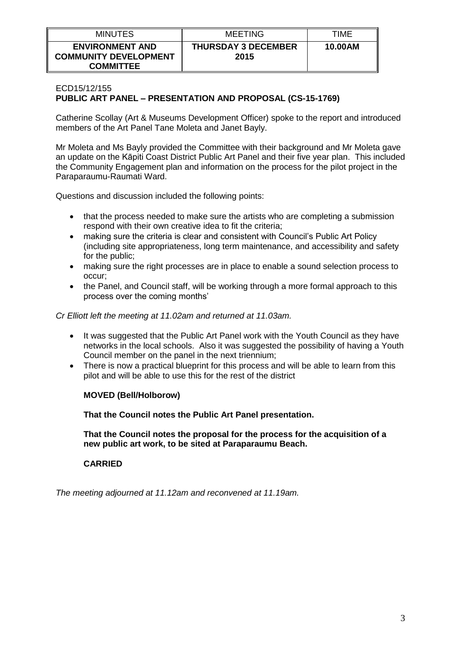| <b>MINUTES</b>                                                             | MEETING                            | TIME    |
|----------------------------------------------------------------------------|------------------------------------|---------|
| <b>ENVIRONMENT AND</b><br><b>COMMUNITY DEVELOPMENT</b><br><b>COMMITTEE</b> | <b>THURSDAY 3 DECEMBER</b><br>2015 | 10.00AM |

# ECD15/12/155 **PUBLIC ART PANEL – PRESENTATION AND PROPOSAL (CS-15-1769)**

Catherine Scollay (Art & Museums Development Officer) spoke to the report and introduced members of the Art Panel Tane Moleta and Janet Bayly.

Mr Moleta and Ms Bayly provided the Committee with their background and Mr Moleta gave an update on the Kāpiti Coast District Public Art Panel and their five year plan. This included the Community Engagement plan and information on the process for the pilot project in the Paraparaumu-Raumati Ward.

Questions and discussion included the following points:

- that the process needed to make sure the artists who are completing a submission respond with their own creative idea to fit the criteria;
- making sure the criteria is clear and consistent with Council's Public Art Policy (including site appropriateness, long term maintenance, and accessibility and safety for the public;
- making sure the right processes are in place to enable a sound selection process to occur;
- the Panel, and Council staff, will be working through a more formal approach to this process over the coming months'

*Cr Elliott left the meeting at 11.02am and returned at 11.03am.*

- It was suggested that the Public Art Panel work with the Youth Council as they have networks in the local schools. Also it was suggested the possibility of having a Youth Council member on the panel in the next triennium;
- There is now a practical blueprint for this process and will be able to learn from this pilot and will be able to use this for the rest of the district

## **MOVED (Bell/Holborow)**

**That the Council notes the Public Art Panel presentation.** 

**That the Council notes the proposal for the process for the acquisition of a new public art work, to be sited at Paraparaumu Beach.**

# **CARRIED**

*The meeting adjourned at 11.12am and reconvened at 11.19am.*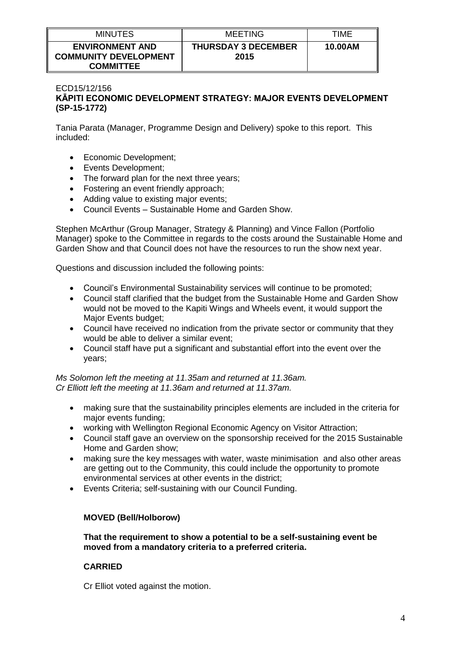| <b>MINUTES</b>                                                             | MEETING                            | TIME    |
|----------------------------------------------------------------------------|------------------------------------|---------|
| <b>ENVIRONMENT AND</b><br><b>COMMUNITY DEVELOPMENT</b><br><b>COMMITTEE</b> | <b>THURSDAY 3 DECEMBER</b><br>2015 | 10.00AM |

## ECD15/12/156 **KĀPITI ECONOMIC DEVELOPMENT STRATEGY: MAJOR EVENTS DEVELOPMENT (SP-15-1772)**

Tania Parata (Manager, Programme Design and Delivery) spoke to this report. This included:

- Economic Development;
- Events Development;
- The forward plan for the next three years;
- Fostering an event friendly approach;
- Adding value to existing major events;
- Council Events Sustainable Home and Garden Show.

Stephen McArthur (Group Manager, Strategy & Planning) and Vince Fallon (Portfolio Manager) spoke to the Committee in regards to the costs around the Sustainable Home and Garden Show and that Council does not have the resources to run the show next year.

Questions and discussion included the following points:

- Council's Environmental Sustainability services will continue to be promoted;
- Council staff clarified that the budget from the Sustainable Home and Garden Show would not be moved to the Kapiti Wings and Wheels event, it would support the Major Events budget;
- Council have received no indication from the private sector or community that they would be able to deliver a similar event;
- Council staff have put a significant and substantial effort into the event over the years;

*Ms Solomon left the meeting at 11.35am and returned at 11.36am. Cr Elliott left the meeting at 11.36am and returned at 11.37am.*

- making sure that the sustainability principles elements are included in the criteria for major events funding;
- working with Wellington Regional Economic Agency on Visitor Attraction;
- Council staff gave an overview on the sponsorship received for the 2015 Sustainable Home and Garden show;
- making sure the key messages with water, waste minimisation and also other areas are getting out to the Community, this could include the opportunity to promote environmental services at other events in the district;
- Events Criteria; self-sustaining with our Council Funding.

## **MOVED (Bell/Holborow)**

**That the requirement to show a potential to be a self-sustaining event be moved from a mandatory criteria to a preferred criteria.**

## **CARRIED**

Cr Elliot voted against the motion.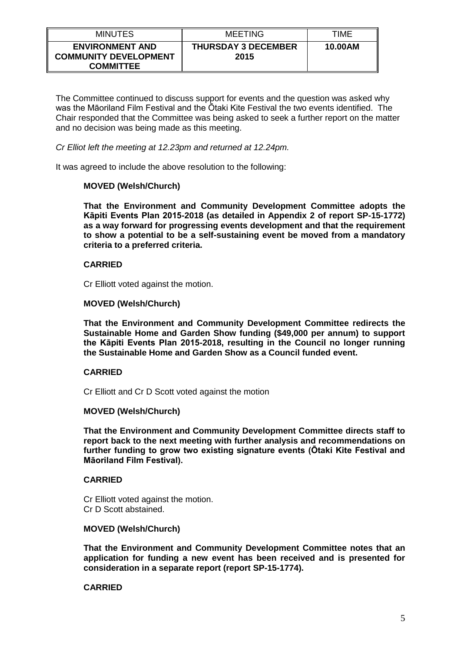| <b>MINUTES</b>                                                             | <b>MEETING</b>                     | TIME    |
|----------------------------------------------------------------------------|------------------------------------|---------|
| <b>ENVIRONMENT AND</b><br><b>COMMUNITY DEVELOPMENT</b><br><b>COMMITTEE</b> | <b>THURSDAY 3 DECEMBER</b><br>2015 | 10.00AM |

The Committee continued to discuss support for events and the question was asked why was the Māoriland Film Festival and the Ōtaki Kite Festival the two events identified. The Chair responded that the Committee was being asked to seek a further report on the matter and no decision was being made as this meeting.

*Cr Elliot left the meeting at 12.23pm and returned at 12.24pm.*

It was agreed to include the above resolution to the following:

## **MOVED (Welsh/Church)**

**That the Environment and Community Development Committee adopts the Kāpiti Events Plan 2015-2018 (as detailed in Appendix 2 of report SP-15-1772) as a way forward for progressing events development and that the requirement to show a potential to be a self-sustaining event be moved from a mandatory criteria to a preferred criteria.**

## **CARRIED**

Cr Elliott voted against the motion.

#### **MOVED (Welsh/Church)**

**That the Environment and Community Development Committee redirects the Sustainable Home and Garden Show funding (\$49,000 per annum) to support the Kāpiti Events Plan 2015-2018, resulting in the Council no longer running the Sustainable Home and Garden Show as a Council funded event.**

## **CARRIED**

Cr Elliott and Cr D Scott voted against the motion

#### **MOVED (Welsh/Church)**

**That the Environment and Community Development Committee directs staff to report back to the next meeting with further analysis and recommendations on further funding to grow two existing signature events (Ōtaki Kite Festival and Māoriland Film Festival).**

## **CARRIED**

Cr Elliott voted against the motion. Cr D Scott abstained.

#### **MOVED (Welsh/Church)**

**That the Environment and Community Development Committee notes that an application for funding a new event has been received and is presented for consideration in a separate report (report SP-15-1774).**

## **CARRIED**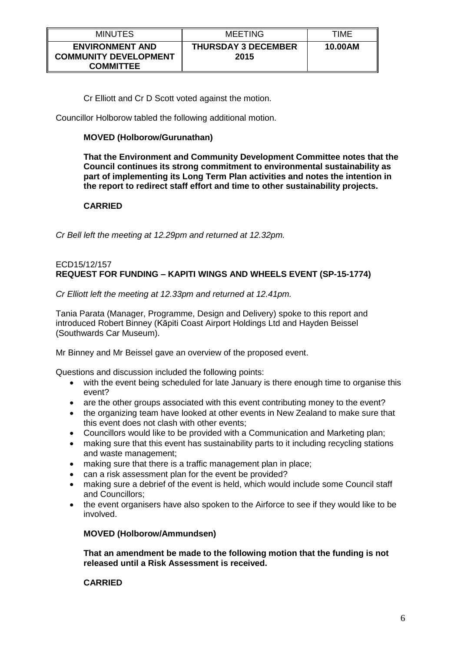| <b>MINUTES</b>                                                             | <b>MEETING</b>                     | TIME    |
|----------------------------------------------------------------------------|------------------------------------|---------|
| <b>ENVIRONMENT AND</b><br><b>COMMUNITY DEVELOPMENT</b><br><b>COMMITTEE</b> | <b>THURSDAY 3 DECEMBER</b><br>2015 | 10.00AM |

Cr Elliott and Cr D Scott voted against the motion.

Councillor Holborow tabled the following additional motion.

# **MOVED (Holborow/Gurunathan)**

**That the Environment and Community Development Committee notes that the Council continues its strong commitment to environmental sustainability as part of implementing its Long Term Plan activities and notes the intention in the report to redirect staff effort and time to other sustainability projects.**

# **CARRIED**

*Cr Bell left the meeting at 12.29pm and returned at 12.32pm.*

#### ECD15/12/157 **REQUEST FOR FUNDING – KAPITI WINGS AND WHEELS EVENT (SP-15-1774)**

*Cr Elliott left the meeting at 12.33pm and returned at 12.41pm.*

Tania Parata (Manager, Programme, Design and Delivery) spoke to this report and introduced Robert Binney (Kāpiti Coast Airport Holdings Ltd and Hayden Beissel (Southwards Car Museum).

Mr Binney and Mr Beissel gave an overview of the proposed event.

Questions and discussion included the following points:

- with the event being scheduled for late January is there enough time to organise this event?
- are the other groups associated with this event contributing money to the event?
- the organizing team have looked at other events in New Zealand to make sure that this event does not clash with other events;
- Councillors would like to be provided with a Communication and Marketing plan;
- making sure that this event has sustainability parts to it including recycling stations and waste management;
- making sure that there is a traffic management plan in place;
- can a risk assessment plan for the event be provided?
- making sure a debrief of the event is held, which would include some Council staff and Councillors;
- the event organisers have also spoken to the Airforce to see if they would like to be involved.

## **MOVED (Holborow/Ammundsen)**

**That an amendment be made to the following motion that the funding is not released until a Risk Assessment is received.**

## **CARRIED**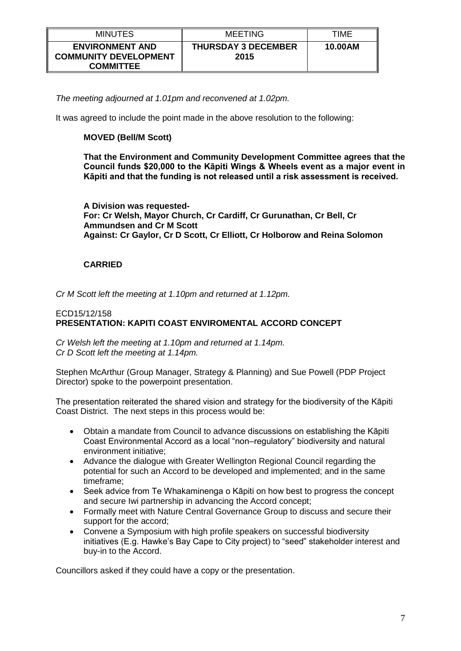| <b>MINUTES</b>                                                             | <b>MEETING</b>                     | TIME    |
|----------------------------------------------------------------------------|------------------------------------|---------|
| <b>ENVIRONMENT AND</b><br><b>COMMUNITY DEVELOPMENT</b><br><b>COMMITTEE</b> | <b>THURSDAY 3 DECEMBER</b><br>2015 | 10.00AM |

*The meeting adjourned at 1.01pm and reconvened at 1.02pm.*

It was agreed to include the point made in the above resolution to the following:

# **MOVED (Bell/M Scott)**

**That the Environment and Community Development Committee agrees that the Council funds \$20,000 to the Kāpiti Wings & Wheels event as a major event in Kāpiti and that the funding is not released until a risk assessment is received.**

**A Division was requested-For: Cr Welsh, Mayor Church, Cr Cardiff, Cr Gurunathan, Cr Bell, Cr Ammundsen and Cr M Scott Against: Cr Gaylor, Cr D Scott, Cr Elliott, Cr Holborow and Reina Solomon**

# **CARRIED**

*Cr M Scott left the meeting at 1.10pm and returned at 1.12pm.*

## ECD15/12/158 **PRESENTATION: KAPITI COAST ENVIROMENTAL ACCORD CONCEPT**

*Cr Welsh left the meeting at 1.10pm and returned at 1.14pm. Cr D Scott left the meeting at 1.14pm.*

Stephen McArthur (Group Manager, Strategy & Planning) and Sue Powell (PDP Project Director) spoke to the powerpoint presentation.

The presentation reiterated the shared vision and strategy for the biodiversity of the Kāpiti Coast District. The next steps in this process would be:

- Obtain a mandate from Council to advance discussions on establishing the Kāpiti Coast Environmental Accord as a local "non–regulatory" biodiversity and natural environment initiative;
- Advance the dialogue with Greater Wellington Regional Council regarding the potential for such an Accord to be developed and implemented; and in the same timeframe;
- Seek advice from Te Whakaminenga o Kāpiti on how best to progress the concept and secure Iwi partnership in advancing the Accord concept;
- Formally meet with Nature Central Governance Group to discuss and secure their support for the accord;
- Convene a Symposium with high profile speakers on successful biodiversity initiatives (E.g. Hawke's Bay Cape to City project) to "seed" stakeholder interest and buy-in to the Accord.

Councillors asked if they could have a copy or the presentation.